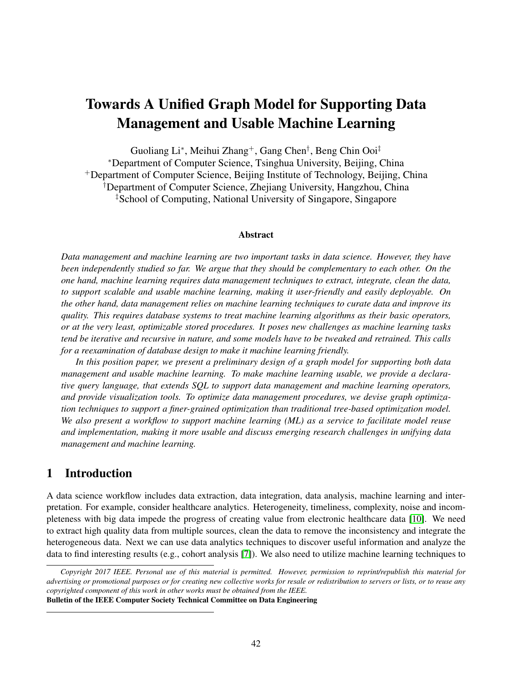# Towards A Unified Graph Model for Supporting Data Management and Usable Machine Learning

Guoliang Li\*, Meihui Zhang<sup>+</sup>, Gang Chen<sup>†</sup>, Beng Chin Ooi<sup>‡</sup> <sup>∗</sup>Department of Computer Science, Tsinghua University, Beijing, China <sup>+</sup>Department of Computer Science, Beijing Institute of Technology, Beijing, China †Department of Computer Science, Zhejiang University, Hangzhou, China ‡School of Computing, National University of Singapore, Singapore

#### Abstract

*Data management and machine learning are two important tasks in data science. However, they have been independently studied so far. We argue that they should be complementary to each other. On the one hand, machine learning requires data management techniques to extract, integrate, clean the data, to support scalable and usable machine learning, making it user-friendly and easily deployable. On the other hand, data management relies on machine learning techniques to curate data and improve its quality. This requires database systems to treat machine learning algorithms as their basic operators, or at the very least, optimizable stored procedures. It poses new challenges as machine learning tasks tend be iterative and recursive in nature, and some models have to be tweaked and retrained. This calls for a reexamination of database design to make it machine learning friendly.*

*In this position paper, we present a preliminary design of a graph model for supporting both data management and usable machine learning. To make machine learning usable, we provide a declarative query language, that extends SQL to support data management and machine learning operators, and provide visualization tools. To optimize data management procedures, we devise graph optimization techniques to support a finer-grained optimization than traditional tree-based optimization model. We also present a workflow to support machine learning (ML) as a service to facilitate model reuse and implementation, making it more usable and discuss emerging research challenges in unifying data management and machine learning.*

### 1 Introduction

A data science workflow includes data extraction, data integration, data analysis, machine learning and interpretation. For example, consider healthcare analytics. Heterogeneity, timeliness, complexity, noise and incompleteness with big data impede the progress of creating value from electronic healthcare data [\[10\]](#page-8-0). We need to extract high quality data from multiple sources, clean the data to remove the inconsistency and integrate the heterogeneous data. Next we can use data analytics techniques to discover useful information and analyze the data to find interesting results (e.g., cohort analysis [\[7\]](#page-8-1)). We also need to utilize machine learning techniques to

*Copyright 2017 IEEE. Personal use of this material is permitted. However, permission to reprint/republish this material for advertising or promotional purposes or for creating new collective works for resale or redistribution to servers or lists, or to reuse any copyrighted component of this work in other works must be obtained from the IEEE.* Bulletin of the IEEE Computer Society Technical Committee on Data Engineering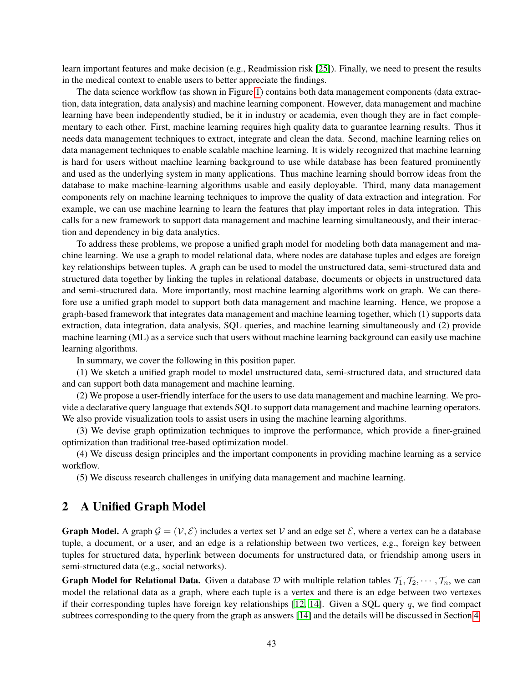learn important features and make decision (e.g., Readmission risk [\[25\]](#page-9-0)). Finally, we need to present the results in the medical context to enable users to better appreciate the findings.

The data science workflow (as shown in Figure [1\)](#page-2-0) contains both data management components (data extraction, data integration, data analysis) and machine learning component. However, data management and machine learning have been independently studied, be it in industry or academia, even though they are in fact complementary to each other. First, machine learning requires high quality data to guarantee learning results. Thus it needs data management techniques to extract, integrate and clean the data. Second, machine learning relies on data management techniques to enable scalable machine learning. It is widely recognized that machine learning is hard for users without machine learning background to use while database has been featured prominently and used as the underlying system in many applications. Thus machine learning should borrow ideas from the database to make machine-learning algorithms usable and easily deployable. Third, many data management components rely on machine learning techniques to improve the quality of data extraction and integration. For example, we can use machine learning to learn the features that play important roles in data integration. This calls for a new framework to support data management and machine learning simultaneously, and their interaction and dependency in big data analytics.

To address these problems, we propose a unified graph model for modeling both data management and machine learning. We use a graph to model relational data, where nodes are database tuples and edges are foreign key relationships between tuples. A graph can be used to model the unstructured data, semi-structured data and structured data together by linking the tuples in relational database, documents or objects in unstructured data and semi-structured data. More importantly, most machine learning algorithms work on graph. We can therefore use a unified graph model to support both data management and machine learning. Hence, we propose a graph-based framework that integrates data management and machine learning together, which (1) supports data extraction, data integration, data analysis, SQL queries, and machine learning simultaneously and (2) provide machine learning (ML) as a service such that users without machine learning background can easily use machine learning algorithms.

In summary, we cover the following in this position paper.

(1) We sketch a unified graph model to model unstructured data, semi-structured data, and structured data and can support both data management and machine learning.

(2) We propose a user-friendly interface for the users to use data management and machine learning. We provide a declarative query language that extends SQL to support data management and machine learning operators. We also provide visualization tools to assist users in using the machine learning algorithms.

(3) We devise graph optimization techniques to improve the performance, which provide a finer-grained optimization than traditional tree-based optimization model.

(4) We discuss design principles and the important components in providing machine learning as a service workflow.

(5) We discuss research challenges in unifying data management and machine learning.

### 2 A Unified Graph Model

**Graph Model.** A graph  $\mathcal{G} = (\mathcal{V}, \mathcal{E})$  includes a vertex set V and an edge set  $\mathcal{E}$ , where a vertex can be a database tuple, a document, or a user, and an edge is a relationship between two vertices, e.g., foreign key between tuples for structured data, hyperlink between documents for unstructured data, or friendship among users in semi-structured data (e.g., social networks).

**Graph Model for Relational Data.** Given a database D with multiple relation tables  $\mathcal{T}_1, \mathcal{T}_2, \cdots, \mathcal{T}_n$ , we can model the relational data as a graph, where each tuple is a vertex and there is an edge between two vertexes if their corresponding tuples have foreign key relationships  $[12, 14]$  $[12, 14]$ . Given a SQL query q, we find compact subtrees corresponding to the query from the graph as answers [\[14\]](#page-8-3) and the details will be discussed in Section [4.](#page-4-0)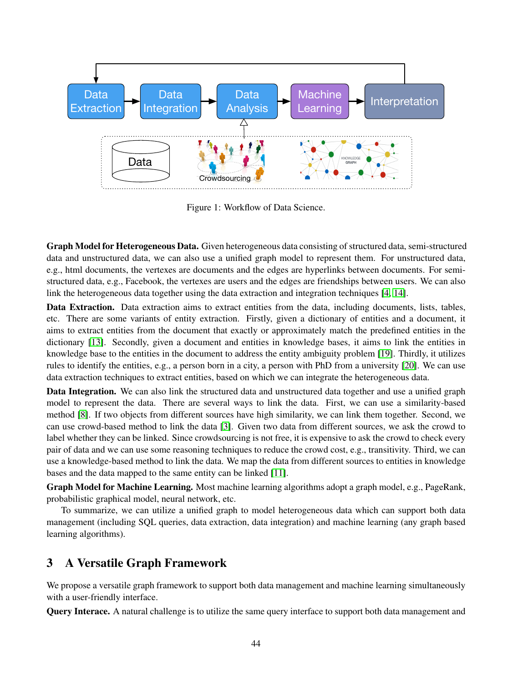

<span id="page-2-0"></span>Figure 1: Workflow of Data Science.

Graph Model for Heterogeneous Data. Given heterogeneous data consisting of structured data, semi-structured data and unstructured data, we can also use a unified graph model to represent them. For unstructured data, e.g., html documents, the vertexes are documents and the edges are hyperlinks between documents. For semistructured data, e.g., Facebook, the vertexes are users and the edges are friendships between users. We can also link the heterogeneous data together using the data extraction and integration techniques [\[4,](#page-8-4) [14\]](#page-8-3).

Data Extraction. Data extraction aims to extract entities from the data, including documents, lists, tables, etc. There are some variants of entity extraction. Firstly, given a dictionary of entities and a document, it aims to extract entities from the document that exactly or approximately match the predefined entities in the dictionary [\[13\]](#page-8-5). Secondly, given a document and entities in knowledge bases, it aims to link the entities in knowledge base to the entities in the document to address the entity ambiguity problem [\[19\]](#page-9-1). Thirdly, it utilizes rules to identify the entities, e.g., a person born in a city, a person with PhD from a university [\[20\]](#page-9-2). We can use data extraction techniques to extract entities, based on which we can integrate the heterogeneous data.

Data Integration. We can also link the structured data and unstructured data together and use a unified graph model to represent the data. There are several ways to link the data. First, we can use a similarity-based method [\[8\]](#page-8-6). If two objects from different sources have high similarity, we can link them together. Second, we can use crowd-based method to link the data [\[3\]](#page-8-7). Given two data from different sources, we ask the crowd to label whether they can be linked. Since crowdsourcing is not free, it is expensive to ask the crowd to check every pair of data and we can use some reasoning techniques to reduce the crowd cost, e.g., transitivity. Third, we can use a knowledge-based method to link the data. We map the data from different sources to entities in knowledge bases and the data mapped to the same entity can be linked [\[11\]](#page-8-8).

Graph Model for Machine Learning. Most machine learning algorithms adopt a graph model, e.g., PageRank, probabilistic graphical model, neural network, etc.

To summarize, we can utilize a unified graph to model heterogeneous data which can support both data management (including SQL queries, data extraction, data integration) and machine learning (any graph based learning algorithms).

# 3 A Versatile Graph Framework

We propose a versatile graph framework to support both data management and machine learning simultaneously with a user-friendly interface.

Query Interace. A natural challenge is to utilize the same query interface to support both data management and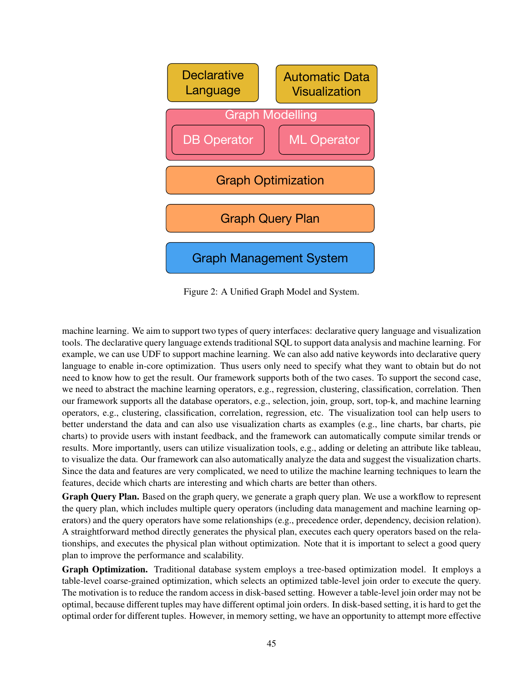

Figure 2: A Unified Graph Model and System.

machine learning. We aim to support two types of query interfaces: declarative query language and visualization tools. The declarative query language extends traditional SQL to support data analysis and machine learning. For example, we can use UDF to support machine learning. We can also add native keywords into declarative query language to enable in-core optimization. Thus users only need to specify what they want to obtain but do not need to know how to get the result. Our framework supports both of the two cases. To support the second case, we need to abstract the machine learning operators, e.g., regression, clustering, classification, correlation. Then our framework supports all the database operators, e.g., selection, join, group, sort, top-k, and machine learning operators, e.g., clustering, classification, correlation, regression, etc. The visualization tool can help users to better understand the data and can also use visualization charts as examples (e.g., line charts, bar charts, pie charts) to provide users with instant feedback, and the framework can automatically compute similar trends or results. More importantly, users can utilize visualization tools, e.g., adding or deleting an attribute like tableau, to visualize the data. Our framework can also automatically analyze the data and suggest the visualization charts. Since the data and features are very complicated, we need to utilize the machine learning techniques to learn the features, decide which charts are interesting and which charts are better than others.

Graph Query Plan. Based on the graph query, we generate a graph query plan. We use a workflow to represent the query plan, which includes multiple query operators (including data management and machine learning operators) and the query operators have some relationships (e.g., precedence order, dependency, decision relation). A straightforward method directly generates the physical plan, executes each query operators based on the relationships, and executes the physical plan without optimization. Note that it is important to select a good query plan to improve the performance and scalability.

Graph Optimization. Traditional database system employs a tree-based optimization model. It employs a table-level coarse-grained optimization, which selects an optimized table-level join order to execute the query. The motivation is to reduce the random access in disk-based setting. However a table-level join order may not be optimal, because different tuples may have different optimal join orders. In disk-based setting, it is hard to get the optimal order for different tuples. However, in memory setting, we have an opportunity to attempt more effective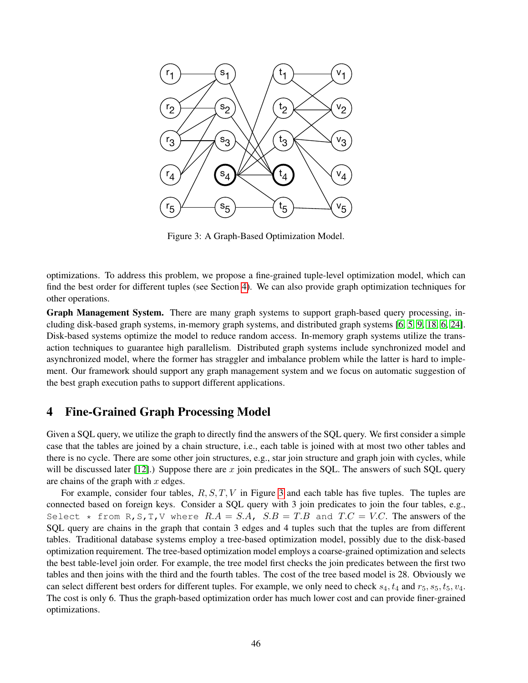

<span id="page-4-1"></span>Figure 3: A Graph-Based Optimization Model.

optimizations. To address this problem, we propose a fine-grained tuple-level optimization model, which can find the best order for different tuples (see Section [4\)](#page-4-0). We can also provide graph optimization techniques for other operations.

Graph Management System. There are many graph systems to support graph-based query processing, including disk-based graph systems, in-memory graph systems, and distributed graph systems [\[6,](#page-8-9) [5,](#page-8-10) [9,](#page-8-11) [18,](#page-9-3) [6,](#page-8-9) [24\]](#page-9-4). Disk-based systems optimize the model to reduce random access. In-memory graph systems utilize the transaction techniques to guarantee high parallelism. Distributed graph systems include synchronized model and asynchronized model, where the former has straggler and imbalance problem while the latter is hard to implement. Our framework should support any graph management system and we focus on automatic suggestion of the best graph execution paths to support different applications.

### <span id="page-4-0"></span>4 Fine-Grained Graph Processing Model

Given a SQL query, we utilize the graph to directly find the answers of the SQL query. We first consider a simple case that the tables are joined by a chain structure, i.e., each table is joined with at most two other tables and there is no cycle. There are some other join structures, e.g., star join structure and graph join with cycles, while will be discussed later [\[12\]](#page-8-2).) Suppose there are  $x$  join predicates in the SQL. The answers of such SQL query are chains of the graph with  $x$  edges.

For example, consider four tables,  $R, S, T, V$  in Figure [3](#page-4-1) and each table has five tuples. The tuples are connected based on foreign keys. Consider a SQL query with 3 join predicates to join the four tables, e.g., Select  $\star$  from R, S, T, V where  $R.A = S.A$ ,  $S.B = T.B$  and  $T.C = V.C$ . The answers of the SQL query are chains in the graph that contain 3 edges and 4 tuples such that the tuples are from different tables. Traditional database systems employ a tree-based optimization model, possibly due to the disk-based optimization requirement. The tree-based optimization model employs a coarse-grained optimization and selects the best table-level join order. For example, the tree model first checks the join predicates between the first two tables and then joins with the third and the fourth tables. The cost of the tree based model is 28. Obviously we can select different best orders for different tuples. For example, we only need to check  $s_4$ ,  $t_4$  and  $r_5$ ,  $s_5$ ,  $t_5$ ,  $v_4$ . The cost is only 6. Thus the graph-based optimization order has much lower cost and can provide finer-grained optimizations.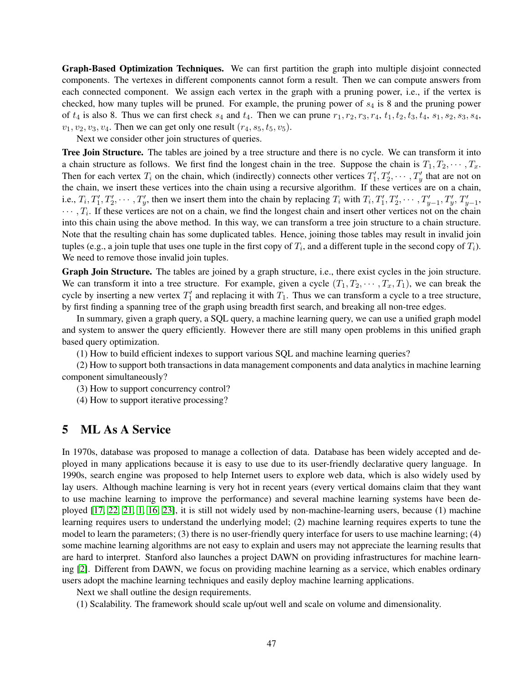Graph-Based Optimization Techniques. We can first partition the graph into multiple disjoint connected components. The vertexes in different components cannot form a result. Then we can compute answers from each connected component. We assign each vertex in the graph with a pruning power, i.e., if the vertex is checked, how many tuples will be pruned. For example, the pruning power of  $s<sub>4</sub>$  is 8 and the pruning power of  $t_4$  is also 8. Thus we can first check  $s_4$  and  $t_4$ . Then we can prune  $r_1, r_2, r_3, r_4, t_1, t_2, t_3, t_4, s_1, s_2, s_3, s_4$ ,  $v_1, v_2, v_3, v_4$ . Then we can get only one result  $(r_4, s_5, t_5, v_5)$ .

Next we consider other join structures of queries.

Tree Join Structure. The tables are joined by a tree structure and there is no cycle. We can transform it into a chain structure as follows. We first find the longest chain in the tree. Suppose the chain is  $T_1, T_2, \cdots, T_x$ . Then for each vertex  $T_i$  on the chain, which (indirectly) connects other vertices  $T'_1, T'_2, \cdots, T'_y$  that are not on the chain, we insert these vertices into the chain using a recursive algorithm. If these vertices are on a chain, i.e.,  $T_i, T'_1, T'_2, \cdots, T'_y$ , then we insert them into the chain by replacing  $T_i$  with  $T_i, T'_1, T'_2, \cdots, T'_{y-1}, T'_y, T'_{y-1},$  $\cdots$ ,  $T_i$ . If these vertices are not on a chain, we find the longest chain and insert other vertices not on the chain into this chain using the above method. In this way, we can transform a tree join structure to a chain structure. Note that the resulting chain has some duplicated tables. Hence, joining those tables may result in invalid join tuples (e.g., a join tuple that uses one tuple in the first copy of  $T_i$ , and a different tuple in the second copy of  $T_i$ ). We need to remove those invalid join tuples.

Graph Join Structure. The tables are joined by a graph structure, i.e., there exist cycles in the join structure. We can transform it into a tree structure. For example, given a cycle  $(T_1, T_2, \dots, T_x, T_1)$ , we can break the cycle by inserting a new vertex  $T'_1$  and replacing it with  $T_1$ . Thus we can transform a cycle to a tree structure, by first finding a spanning tree of the graph using breadth first search, and breaking all non-tree edges.

In summary, given a graph query, a SQL query, a machine learning query, we can use a unified graph model and system to answer the query efficiently. However there are still many open problems in this unified graph based query optimization.

(1) How to build efficient indexes to support various SQL and machine learning queries?

(2) How to support both transactions in data management components and data analytics in machine learning component simultaneously?

(3) How to support concurrency control?

(4) How to support iterative processing?

#### 5 ML As A Service

In 1970s, database was proposed to manage a collection of data. Database has been widely accepted and deployed in many applications because it is easy to use due to its user-friendly declarative query language. In 1990s, search engine was proposed to help Internet users to explore web data, which is also widely used by lay users. Although machine learning is very hot in recent years (every vertical domains claim that they want to use machine learning to improve the performance) and several machine learning systems have been deployed [\[17,](#page-9-5) [22,](#page-9-6) [21,](#page-9-7) [1,](#page-8-12) [16,](#page-9-8) [23\]](#page-9-9), it is still not widely used by non-machine-learning users, because (1) machine learning requires users to understand the underlying model; (2) machine learning requires experts to tune the model to learn the parameters; (3) there is no user-friendly query interface for users to use machine learning; (4) some machine learning algorithms are not easy to explain and users may not appreciate the learning results that are hard to interpret. Stanford also launches a project DAWN on providing infrastructures for machine learning [\[2\]](#page-8-13). Different from DAWN, we focus on providing machine learning as a service, which enables ordinary users adopt the machine learning techniques and easily deploy machine learning applications.

Next we shall outline the design requirements.

(1) Scalability. The framework should scale up/out well and scale on volume and dimensionality.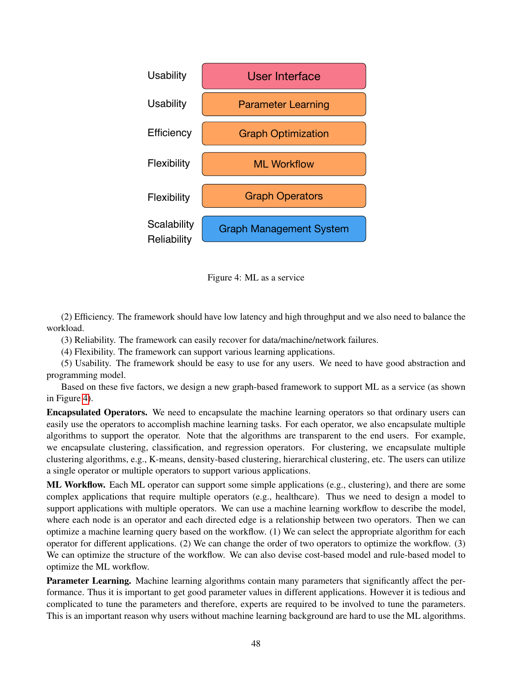

<span id="page-6-0"></span>Figure 4: ML as a service

(2) Efficiency. The framework should have low latency and high throughput and we also need to balance the workload.

(3) Reliability. The framework can easily recover for data/machine/network failures.

(4) Flexibility. The framework can support various learning applications.

(5) Usability. The framework should be easy to use for any users. We need to have good abstraction and programming model.

Based on these five factors, we design a new graph-based framework to support ML as a service (as shown in Figure [4\)](#page-6-0).

Encapsulated Operators. We need to encapsulate the machine learning operators so that ordinary users can easily use the operators to accomplish machine learning tasks. For each operator, we also encapsulate multiple algorithms to support the operator. Note that the algorithms are transparent to the end users. For example, we encapsulate clustering, classification, and regression operators. For clustering, we encapsulate multiple clustering algorithms, e.g., K-means, density-based clustering, hierarchical clustering, etc. The users can utilize a single operator or multiple operators to support various applications.

ML Workflow. Each ML operator can support some simple applications (e.g., clustering), and there are some complex applications that require multiple operators (e.g., healthcare). Thus we need to design a model to support applications with multiple operators. We can use a machine learning workflow to describe the model, where each node is an operator and each directed edge is a relationship between two operators. Then we can optimize a machine learning query based on the workflow. (1) We can select the appropriate algorithm for each operator for different applications. (2) We can change the order of two operators to optimize the workflow. (3) We can optimize the structure of the workflow. We can also devise cost-based model and rule-based model to optimize the ML workflow.

Parameter Learning. Machine learning algorithms contain many parameters that significantly affect the performance. Thus it is important to get good parameter values in different applications. However it is tedious and complicated to tune the parameters and therefore, experts are required to be involved to tune the parameters. This is an important reason why users without machine learning background are hard to use the ML algorithms.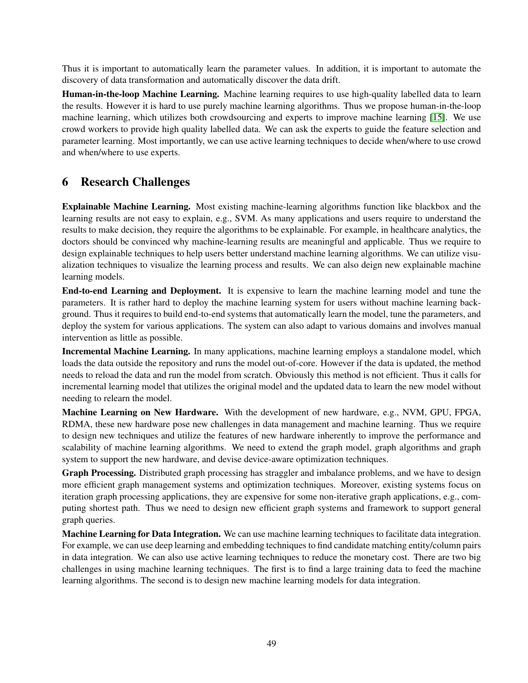Thus it is important to automatically learn the parameter values. In addition, it is important to automate the discovery of data transformation and automatically discover the data drift.

Human-in-the-loop Machine Learning. Machine learning requires to use high-quality labelled data to learn the results. However it is hard to use purely machine learning algorithms. Thus we propose human-in-the-loop machine learning, which utilizes both crowdsourcing and experts to improve machine learning [\[15\]](#page-9-10). We use crowd workers to provide high quality labelled data. We can ask the experts to guide the feature selection and parameter learning. Most importantly, we can use active learning techniques to decide when/where to use crowd and when/where to use experts.

# 6 Research Challenges

Explainable Machine Learning. Most existing machine-learning algorithms function like blackbox and the learning results are not easy to explain, e.g., SVM. As many applications and users require to understand the results to make decision, they require the algorithms to be explainable. For example, in healthcare analytics, the doctors should be convinced why machine-learning results are meaningful and applicable. Thus we require to design explainable techniques to help users better understand machine learning algorithms. We can utilize visualization techniques to visualize the learning process and results. We can also deign new explainable machine learning models.

End-to-end Learning and Deployment. It is expensive to learn the machine learning model and tune the parameters. It is rather hard to deploy the machine learning system for users without machine learning background. Thus it requires to build end-to-end systems that automatically learn the model, tune the parameters, and deploy the system for various applications. The system can also adapt to various domains and involves manual intervention as little as possible.

Incremental Machine Learning. In many applications, machine learning employs a standalone model, which loads the data outside the repository and runs the model out-of-core. However if the data is updated, the method needs to reload the data and run the model from scratch. Obviously this method is not efficient. Thus it calls for incremental learning model that utilizes the original model and the updated data to learn the new model without needing to relearn the model.

Machine Learning on New Hardware. With the development of new hardware, e.g., NVM, GPU, FPGA, RDMA, these new hardware pose new challenges in data management and machine learning. Thus we require to design new techniques and utilize the features of new hardware inherently to improve the performance and scalability of machine learning algorithms. We need to extend the graph model, graph algorithms and graph system to support the new hardware, and devise device-aware optimization techniques.

Graph Processing. Distributed graph processing has straggler and imbalance problems, and we have to design more efficient graph management systems and optimization techniques. Moreover, existing systems focus on iteration graph processing applications, they are expensive for some non-iterative graph applications, e.g., computing shortest path. Thus we need to design new efficient graph systems and framework to support general graph queries.

Machine Learning for Data Integration. We can use machine learning techniques to facilitate data integration. For example, we can use deep learning and embedding techniques to find candidate matching entity/column pairs in data integration. We can also use active learning techniques to reduce the monetary cost. There are two big challenges in using machine learning techniques. The first is to find a large training data to feed the machine learning algorithms. The second is to design new machine learning models for data integration.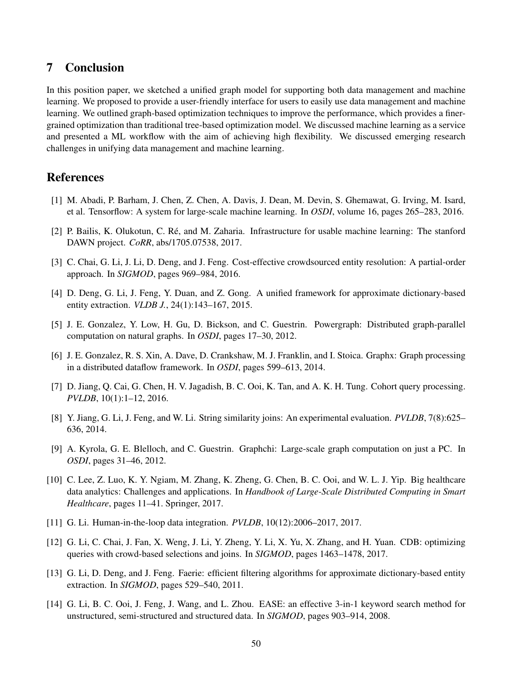#### 7 Conclusion

In this position paper, we sketched a unified graph model for supporting both data management and machine learning. We proposed to provide a user-friendly interface for users to easily use data management and machine learning. We outlined graph-based optimization techniques to improve the performance, which provides a finergrained optimization than traditional tree-based optimization model. We discussed machine learning as a service and presented a ML workflow with the aim of achieving high flexibility. We discussed emerging research challenges in unifying data management and machine learning.

#### References

- <span id="page-8-12"></span>[1] M. Abadi, P. Barham, J. Chen, Z. Chen, A. Davis, J. Dean, M. Devin, S. Ghemawat, G. Irving, M. Isard, et al. Tensorflow: A system for large-scale machine learning. In *OSDI*, volume 16, pages 265–283, 2016.
- <span id="page-8-13"></span>[2] P. Bailis, K. Olukotun, C. Ré, and M. Zaharia. Infrastructure for usable machine learning: The stanford DAWN project. *CoRR*, abs/1705.07538, 2017.
- <span id="page-8-7"></span>[3] C. Chai, G. Li, J. Li, D. Deng, and J. Feng. Cost-effective crowdsourced entity resolution: A partial-order approach. In *SIGMOD*, pages 969–984, 2016.
- <span id="page-8-4"></span>[4] D. Deng, G. Li, J. Feng, Y. Duan, and Z. Gong. A unified framework for approximate dictionary-based entity extraction. *VLDB J.*, 24(1):143–167, 2015.
- <span id="page-8-10"></span>[5] J. E. Gonzalez, Y. Low, H. Gu, D. Bickson, and C. Guestrin. Powergraph: Distributed graph-parallel computation on natural graphs. In *OSDI*, pages 17–30, 2012.
- <span id="page-8-9"></span>[6] J. E. Gonzalez, R. S. Xin, A. Dave, D. Crankshaw, M. J. Franklin, and I. Stoica. Graphx: Graph processing in a distributed dataflow framework. In *OSDI*, pages 599–613, 2014.
- <span id="page-8-1"></span>[7] D. Jiang, Q. Cai, G. Chen, H. V. Jagadish, B. C. Ooi, K. Tan, and A. K. H. Tung. Cohort query processing. *PVLDB*, 10(1):1–12, 2016.
- <span id="page-8-6"></span>[8] Y. Jiang, G. Li, J. Feng, and W. Li. String similarity joins: An experimental evaluation. *PVLDB*, 7(8):625– 636, 2014.
- <span id="page-8-11"></span>[9] A. Kyrola, G. E. Blelloch, and C. Guestrin. Graphchi: Large-scale graph computation on just a PC. In *OSDI*, pages 31–46, 2012.
- <span id="page-8-0"></span>[10] C. Lee, Z. Luo, K. Y. Ngiam, M. Zhang, K. Zheng, G. Chen, B. C. Ooi, and W. L. J. Yip. Big healthcare data analytics: Challenges and applications. In *Handbook of Large-Scale Distributed Computing in Smart Healthcare*, pages 11–41. Springer, 2017.
- <span id="page-8-8"></span>[11] G. Li. Human-in-the-loop data integration. *PVLDB*, 10(12):2006–2017, 2017.
- <span id="page-8-2"></span>[12] G. Li, C. Chai, J. Fan, X. Weng, J. Li, Y. Zheng, Y. Li, X. Yu, X. Zhang, and H. Yuan. CDB: optimizing queries with crowd-based selections and joins. In *SIGMOD*, pages 1463–1478, 2017.
- <span id="page-8-5"></span>[13] G. Li, D. Deng, and J. Feng. Faerie: efficient filtering algorithms for approximate dictionary-based entity extraction. In *SIGMOD*, pages 529–540, 2011.
- <span id="page-8-3"></span>[14] G. Li, B. C. Ooi, J. Feng, J. Wang, and L. Zhou. EASE: an effective 3-in-1 keyword search method for unstructured, semi-structured and structured data. In *SIGMOD*, pages 903–914, 2008.